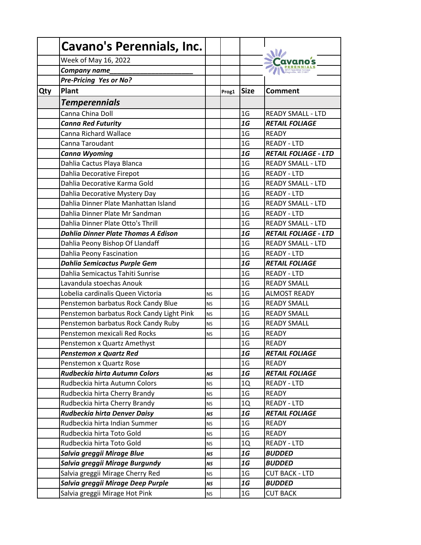|     | <b>Cavano's Perennials, Inc.</b>           |           |       |                |                             |
|-----|--------------------------------------------|-----------|-------|----------------|-----------------------------|
|     | Week of May 16, 2022                       |           |       |                |                             |
|     | Company name                               |           |       |                |                             |
|     | Pre-Pricing Yes or No?                     |           |       |                |                             |
| Qty | Plant                                      |           | Prog1 | <b>Size</b>    | <b>Comment</b>              |
|     | <b>Temperennials</b>                       |           |       |                |                             |
|     | Canna China Doll                           |           |       | 1 <sub>G</sub> | <b>READY SMALL - LTD</b>    |
|     | <b>Canna Red Futurity</b>                  |           |       | 1G             | <b>RETAIL FOLIAGE</b>       |
|     | Canna Richard Wallace                      |           |       | 1 <sub>G</sub> | <b>READY</b>                |
|     | Canna Taroudant                            |           |       | 1 <sub>G</sub> | <b>READY - LTD</b>          |
|     | <b>Canna Wyoming</b>                       |           |       | 1G             | <b>RETAIL FOLIAGE - LTD</b> |
|     | Dahlia Cactus Playa Blanca                 |           |       | 1 <sub>G</sub> | <b>READY SMALL - LTD</b>    |
|     | Dahlia Decorative Firepot                  |           |       | 1 <sub>G</sub> | <b>READY - LTD</b>          |
|     | Dahlia Decorative Karma Gold               |           |       | 1 <sub>G</sub> | <b>READY SMALL - LTD</b>    |
|     | Dahlia Decorative Mystery Day              |           |       | 1 <sub>G</sub> | <b>READY - LTD</b>          |
|     | Dahlia Dinner Plate Manhattan Island       |           |       | 1 <sub>G</sub> | <b>READY SMALL - LTD</b>    |
|     | Dahlia Dinner Plate Mr Sandman             |           |       | 1 <sub>G</sub> | <b>READY - LTD</b>          |
|     | Dahlia Dinner Plate Otto's Thrill          |           |       | 1 <sub>G</sub> | <b>READY SMALL - LTD</b>    |
|     | <b>Dahlia Dinner Plate Thomas A Edison</b> |           |       | 1G             | <b>RETAIL FOLIAGE - LTD</b> |
|     | Dahlia Peony Bishop Of Llandaff            |           |       | 1 <sub>G</sub> | <b>READY SMALL - LTD</b>    |
|     | Dahlia Peony Fascination                   |           |       | 1 <sub>G</sub> | <b>READY - LTD</b>          |
|     | <b>Dahlia Semicactus Purple Gem</b>        |           |       | 1G             | <b>RETAIL FOLIAGE</b>       |
|     | Dahlia Semicactus Tahiti Sunrise           |           |       | 1 <sub>G</sub> | <b>READY - LTD</b>          |
|     | Lavandula stoechas Anouk                   |           |       | 1 <sub>G</sub> | <b>READY SMALL</b>          |
|     | Lobelia cardinalis Queen Victoria          | <b>NS</b> |       | 1 <sub>G</sub> | <b>ALMOST READY</b>         |
|     | Penstemon barbatus Rock Candy Blue         | <b>NS</b> |       | 1 <sub>G</sub> | <b>READY SMALL</b>          |
|     | Penstemon barbatus Rock Candy Light Pink   | <b>NS</b> |       | 1 <sub>G</sub> | <b>READY SMALL</b>          |
|     | Penstemon barbatus Rock Candy Ruby         | <b>NS</b> |       | 1 <sub>G</sub> | <b>READY SMALL</b>          |
|     | Penstemon mexicali Red Rocks               | <b>NS</b> |       | 1 <sub>G</sub> | <b>READY</b>                |
|     | Penstemon x Quartz Amethyst                |           |       | 1 <sub>G</sub> | <b>READY</b>                |
|     | <b>Penstemon x Quartz Red</b>              |           |       | 1G             | <b>RETAIL FOLIAGE</b>       |
|     | Penstemon x Quartz Rose                    |           |       | 1 <sub>G</sub> | <b>READY</b>                |
|     | Rudbeckia hirta Autumn Colors              | <b>NS</b> |       | 1G             | <b>RETAIL FOLIAGE</b>       |
|     | Rudbeckia hirta Autumn Colors              | <b>NS</b> |       | 1Q             | <b>READY - LTD</b>          |
|     | Rudbeckia hirta Cherry Brandy              | <b>NS</b> |       | 1 <sub>G</sub> | READY                       |
|     | Rudbeckia hirta Cherry Brandy              | <b>NS</b> |       | 1Q             | <b>READY - LTD</b>          |
|     | Rudbeckia hirta Denver Daisy               | NS        |       | 1G             | <b>RETAIL FOLIAGE</b>       |
|     | Rudbeckia hirta Indian Summer              | <b>NS</b> |       | 1 <sub>G</sub> | <b>READY</b>                |
|     | Rudbeckia hirta Toto Gold                  | <b>NS</b> |       | 1 <sub>G</sub> | <b>READY</b>                |
|     | Rudbeckia hirta Toto Gold                  | <b>NS</b> |       | 1Q             | <b>READY - LTD</b>          |
|     | Salvia greggii Mirage Blue                 | <b>NS</b> |       | 1G             | <b>BUDDED</b>               |
|     | Salvia greggii Mirage Burgundy             | NS        |       | 1G             | <b>BUDDED</b>               |
|     | Salvia greggii Mirage Cherry Red           | <b>NS</b> |       | 1 <sub>G</sub> | <b>CUT BACK - LTD</b>       |
|     | Salvia greggii Mirage Deep Purple          | NS        |       | 1G             | <b>BUDDED</b>               |
|     | Salvia greggii Mirage Hot Pink             | <b>NS</b> |       | 1 <sub>G</sub> | <b>CUT BACK</b>             |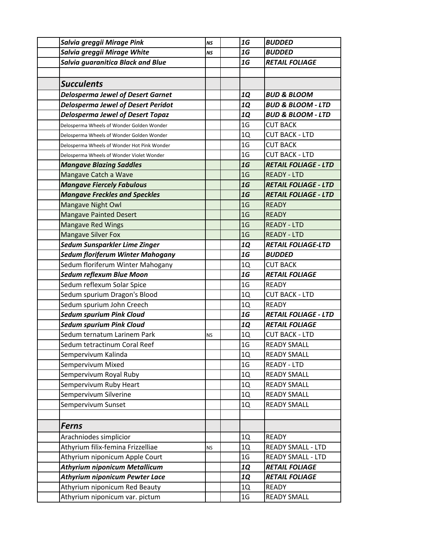| Salvia greggii Mirage Pink                  | <b>NS</b> | 1G             | <b>BUDDED</b>                |
|---------------------------------------------|-----------|----------------|------------------------------|
| Salvia greggii Mirage White                 | <b>NS</b> | 1G             | <b>BUDDED</b>                |
| <b>Salvia guaranitica Black and Blue</b>    |           | $1G$           | <b>RETAIL FOLIAGE</b>        |
|                                             |           |                |                              |
| <b>Succulents</b>                           |           |                |                              |
| <b>Delosperma Jewel of Desert Garnet</b>    |           | <b>1Q</b>      | <b>BUD &amp; BLOOM</b>       |
| <b>Delosperma Jewel of Desert Peridot</b>   |           | <b>1Q</b>      | <b>BUD &amp; BLOOM - LTD</b> |
| <b>Delosperma Jewel of Desert Topaz</b>     |           | <b>1Q</b>      | <b>BUD &amp; BLOOM - LTD</b> |
| Delosperma Wheels of Wonder Golden Wonder   |           | 1 <sub>G</sub> | <b>CUT BACK</b>              |
| Delosperma Wheels of Wonder Golden Wonder   |           | 1Q             | <b>CUT BACK - LTD</b>        |
| Delosperma Wheels of Wonder Hot Pink Wonder |           | 1 <sub>G</sub> | <b>CUT BACK</b>              |
| Delosperma Wheels of Wonder Violet Wonder   |           | 1 <sub>G</sub> | <b>CUT BACK - LTD</b>        |
| <b>Mangave Blazing Saddles</b>              |           | 1G             | <b>RETAIL FOLIAGE - LTD</b>  |
| Mangave Catch a Wave                        |           | 1 <sub>G</sub> | <b>READY - LTD</b>           |
| <b>Mangave Fiercely Fabulous</b>            |           | 1G             | <b>RETAIL FOLIAGE - LTD</b>  |
| <b>Mangave Freckles and Speckles</b>        |           | 1G             | <b>RETAIL FOLIAGE - LTD</b>  |
| Mangave Night Owl                           |           | 1 <sub>G</sub> | <b>READY</b>                 |
| <b>Mangave Painted Desert</b>               |           | 1 <sub>G</sub> | <b>READY</b>                 |
| <b>Mangave Red Wings</b>                    |           | 1 <sub>G</sub> | <b>READY - LTD</b>           |
| <b>Mangave Silver Fox</b>                   |           | 1 <sub>G</sub> | <b>READY - LTD</b>           |
| Sedum Sunsparkler Lime Zinger               |           | <b>1Q</b>      | <b>RETAIL FOLIAGE-LTD</b>    |
| Sedum floriferum Winter Mahogany            |           | 1G             | <b>BUDDED</b>                |
| Sedum floriferum Winter Mahogany            |           | 1Q             | <b>CUT BACK</b>              |
| Sedum reflexum Blue Moon                    |           | 1G             | <b>RETAIL FOLIAGE</b>        |
| Sedum reflexum Solar Spice                  |           | 1 <sub>G</sub> | <b>READY</b>                 |
| Sedum spurium Dragon's Blood                |           | 1Q             | <b>CUT BACK - LTD</b>        |
| Sedum spurium John Creech                   |           | 1Q             | <b>READY</b>                 |
| <b>Sedum spurium Pink Cloud</b>             |           | 1G             | <b>RETAIL FOLIAGE - LTD</b>  |
| <b>Sedum spurium Pink Cloud</b>             |           | <b>1Q</b>      | <b>RETAIL FOLIAGE</b>        |
| Sedum ternatum Larinem Park                 | NS        | 1Q             | <b>CUT BACK - LTD</b>        |
| Sedum tetractinum Coral Reef                |           | 1 <sub>G</sub> | <b>READY SMALL</b>           |
| Sempervivum Kalinda                         |           | 1Q             | <b>READY SMALL</b>           |
| Sempervivum Mixed                           |           |                |                              |
|                                             |           | 1 <sub>G</sub> | <b>READY - LTD</b>           |
| Sempervivum Royal Ruby                      |           | 1Q             | <b>READY SMALL</b>           |
| Sempervivum Ruby Heart                      |           | 1Q             | <b>READY SMALL</b>           |
| Sempervivum Silverine                       |           | 1Q             | <b>READY SMALL</b>           |
| Sempervivum Sunset                          |           | $1Q$           | <b>READY SMALL</b>           |
|                                             |           |                |                              |
| <b>Ferns</b>                                |           |                |                              |
| Arachniodes simplicior                      |           | 1Q             | <b>READY</b>                 |
| Athyrium filix-femina Frizzelliae           | <b>NS</b> | 1Q             | READY SMALL - LTD            |
| Athyrium niponicum Apple Court              |           | 1 <sub>G</sub> | <b>READY SMALL - LTD</b>     |
| <b>Athyrium niponicum Metallicum</b>        |           | <b>1Q</b>      | <b>RETAIL FOLIAGE</b>        |
| <b>Athyrium niponicum Pewter Lace</b>       |           | <b>1Q</b>      | <b>RETAIL FOLIAGE</b>        |
| Athyrium niponicum Red Beauty               |           | 1Q             | <b>READY</b>                 |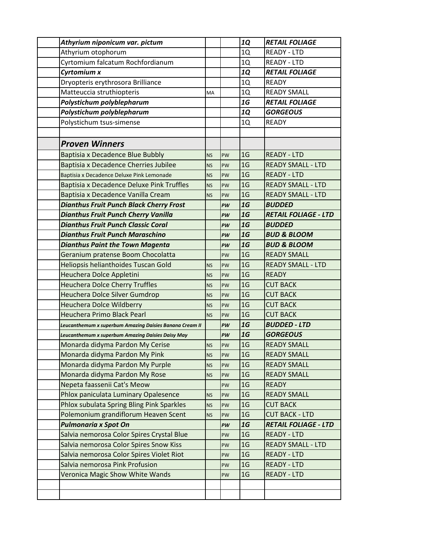| Athyrium niponicum var. pictum                          |           |           | <b>1Q</b>      | <b>RETAIL FOLIAGE</b>       |
|---------------------------------------------------------|-----------|-----------|----------------|-----------------------------|
| Athyrium otophorum                                      |           |           | 1Q             | <b>READY - LTD</b>          |
| Cyrtomium falcatum Rochfordianum                        |           |           | 1Q             | <b>READY - LTD</b>          |
| Cyrtomium x                                             |           |           | <b>1Q</b>      | <b>RETAIL FOLIAGE</b>       |
| Dryopteris erythrosora Brilliance                       |           |           | 1Q             | <b>READY</b>                |
| Matteuccia struthiopteris                               | <b>MA</b> |           | 1Q             | <b>READY SMALL</b>          |
| Polystichum polyblepharum                               |           |           | 1G             | <b>RETAIL FOLIAGE</b>       |
| Polystichum polyblepharum                               |           |           | <b>1Q</b>      | <b>GORGEOUS</b>             |
| Polystichum tsus-simense                                |           |           | 1Q             | <b>READY</b>                |
|                                                         |           |           |                |                             |
| <b>Proven Winners</b>                                   |           |           |                |                             |
| Baptisia x Decadence Blue Bubbly                        | <b>NS</b> | PW        | 1 <sub>G</sub> | <b>READY - LTD</b>          |
| Baptisia x Decadence Cherries Jubilee                   | <b>NS</b> | PW        | 1 <sub>G</sub> | <b>READY SMALL - LTD</b>    |
| Baptisia x Decadence Deluxe Pink Lemonade               | <b>NS</b> | PW        | 1 <sub>G</sub> | <b>READY - LTD</b>          |
| <b>Baptisia x Decadence Deluxe Pink Truffles</b>        | <b>NS</b> | PW        | 1 <sub>G</sub> | <b>READY SMALL - LTD</b>    |
| Baptisia x Decadence Vanilla Cream                      | <b>NS</b> | PW        | 1 <sub>G</sub> | <b>READY SMALL - LTD</b>    |
| <b>Dianthus Fruit Punch Black Cherry Frost</b>          |           | PW        | 1G             | <b>BUDDED</b>               |
| <b>Dianthus Fruit Punch Cherry Vanilla</b>              |           | PW        | 1G             | <b>RETAIL FOLIAGE - LTD</b> |
| <b>Dianthus Fruit Punch Classic Coral</b>               |           | PW        | 1G             | <b>BUDDED</b>               |
| <b>Dianthus Fruit Punch Maraschino</b>                  |           | PW        | 1G             | <b>BUD &amp; BLOOM</b>      |
| <b>Dianthus Paint the Town Magenta</b>                  |           | PW        | 1G             | <b>BUD &amp; BLOOM</b>      |
| Geranium pratense Boom Chocolatta                       |           | PW        | 1 <sub>G</sub> | <b>READY SMALL</b>          |
| Heliopsis helianthoides Tuscan Gold                     | <b>NS</b> | <b>PW</b> | 1 <sub>G</sub> | <b>READY SMALL - LTD</b>    |
| Heuchera Dolce Appletini                                | <b>NS</b> | PW        | 1 <sub>G</sub> | <b>READY</b>                |
| <b>Heuchera Dolce Cherry Truffles</b>                   | <b>NS</b> | PW        | 1 <sub>G</sub> | <b>CUT BACK</b>             |
| Heuchera Dolce Silver Gumdrop                           | <b>NS</b> | PW        | 1 <sub>G</sub> | <b>CUT BACK</b>             |
| <b>Heuchera Dolce Wildberry</b>                         | <b>NS</b> | PW        | 1 <sub>G</sub> | <b>CUT BACK</b>             |
| Heuchera Primo Black Pearl                              | <b>NS</b> | <b>PW</b> | 1 <sub>G</sub> | <b>CUT BACK</b>             |
| Leucanthemum x superbum Amazing Daisies Banana Cream II |           | PW        | 1G             | <b>BUDDED - LTD</b>         |
| Leucanthemum x superbum Amazing Daisies Daisy May       |           | PW        | 1G             | <b>GORGEOUS</b>             |
| Monarda didyma Pardon My Cerise                         | <b>NS</b> | PW        | 1 <sub>G</sub> | <b>READY SMALL</b>          |
| Monarda didyma Pardon My Pink                           | ΝS        | PW        | 1 <sub>G</sub> | <b>READY SMALL</b>          |
| Monarda didyma Pardon My Purple                         | <b>NS</b> | PW        | 1 <sub>G</sub> | <b>READY SMALL</b>          |
| Monarda didyma Pardon My Rose                           | <b>NS</b> | PW        | 1 <sub>G</sub> | <b>READY SMALL</b>          |
| Nepeta faassenii Cat's Meow                             |           | PW        | 1 <sub>G</sub> | <b>READY</b>                |
| Phlox paniculata Luminary Opalesence                    | <b>NS</b> | PW        | 1 <sub>G</sub> | <b>READY SMALL</b>          |
| Phlox subulata Spring Bling Pink Sparkles               | ΝS        | PW        | 1 <sub>G</sub> | <b>CUT BACK</b>             |
| Polemonium grandiflorum Heaven Scent                    | <b>NS</b> | PW        | 1 <sub>G</sub> | <b>CUT BACK - LTD</b>       |
| <b>Pulmonaria x Spot On</b>                             |           | PW        | 1G             | <b>RETAIL FOLIAGE - LTD</b> |
| Salvia nemorosa Color Spires Crystal Blue               |           | PW        | 1 <sub>G</sub> | <b>READY - LTD</b>          |
| Salvia nemorosa Color Spires Snow Kiss                  |           | PW        | 1 <sub>G</sub> | <b>READY SMALL - LTD</b>    |
| Salvia nemorosa Color Spires Violet Riot                |           | PW        | 1 <sub>G</sub> | <b>READY - LTD</b>          |
| Salvia nemorosa Pink Profusion                          |           | PW        | 1 <sub>G</sub> | <b>READY - LTD</b>          |
| Veronica Magic Show White Wands                         |           | PW        | 1 <sub>G</sub> | <b>READY - LTD</b>          |
|                                                         |           |           |                |                             |
|                                                         |           |           |                |                             |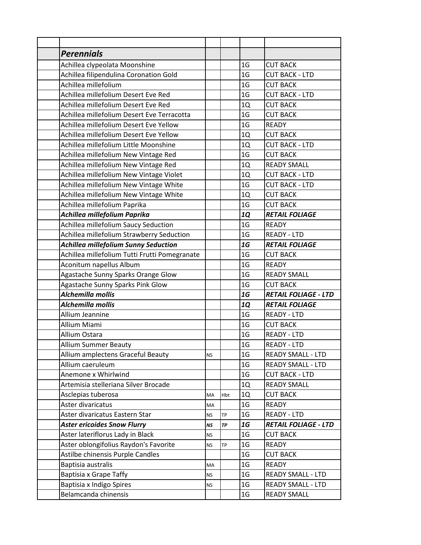| <b>Perennials</b>                             |           |           |                |                             |
|-----------------------------------------------|-----------|-----------|----------------|-----------------------------|
| Achillea clypeolata Moonshine                 |           |           | 1 <sub>G</sub> | <b>CUT BACK</b>             |
| Achillea filipendulina Coronation Gold        |           |           | 1 <sub>G</sub> | <b>CUT BACK - LTD</b>       |
| Achillea millefolium                          |           |           | 1 <sub>G</sub> | <b>CUT BACK</b>             |
| Achillea millefolium Desert Eve Red           |           |           | 1 <sub>G</sub> | <b>CUT BACK - LTD</b>       |
| Achillea millefolium Desert Eve Red           |           |           | 1Q             | <b>CUT BACK</b>             |
| Achillea millefolium Desert Eve Terracotta    |           |           | 1 <sub>G</sub> | <b>CUT BACK</b>             |
| Achillea millefolium Desert Eve Yellow        |           |           | 1 <sub>G</sub> | <b>READY</b>                |
| Achillea millefolium Desert Eve Yellow        |           |           | 1Q             | <b>CUT BACK</b>             |
| Achillea millefolium Little Moonshine         |           |           | 1Q             | <b>CUT BACK - LTD</b>       |
| Achillea millefolium New Vintage Red          |           |           | 1 <sub>G</sub> | <b>CUT BACK</b>             |
| Achillea millefolium New Vintage Red          |           |           | 1Q             | <b>READY SMALL</b>          |
| Achillea millefolium New Vintage Violet       |           |           | 1Q             | <b>CUT BACK - LTD</b>       |
| Achillea millefolium New Vintage White        |           |           | 1 <sub>G</sub> | <b>CUT BACK - LTD</b>       |
| Achillea millefolium New Vintage White        |           |           | 1Q             | <b>CUT BACK</b>             |
| Achillea millefolium Paprika                  |           |           | 1 <sub>G</sub> | <b>CUT BACK</b>             |
| Achillea millefolium Paprika                  |           |           | <b>1Q</b>      | <b>RETAIL FOLIAGE</b>       |
| Achillea millefolium Saucy Seduction          |           |           | 1 <sub>G</sub> | <b>READY</b>                |
| Achillea millefolium Strawberry Seduction     |           |           | 1 <sub>G</sub> | <b>READY - LTD</b>          |
| <b>Achillea millefolium Sunny Seduction</b>   |           |           | 1G             | <b>RETAIL FOLIAGE</b>       |
| Achillea millefolium Tutti Frutti Pomegranate |           |           | 1 <sub>G</sub> | <b>CUT BACK</b>             |
| Aconitum napellus Album                       |           |           | 1 <sub>G</sub> | <b>READY</b>                |
| Agastache Sunny Sparks Orange Glow            |           |           | 1 <sub>G</sub> | <b>READY SMALL</b>          |
| Agastache Sunny Sparks Pink Glow              |           |           | 1 <sub>G</sub> | <b>CUT BACK</b>             |
| Alchemilla mollis                             |           |           | 1G             | <b>RETAIL FOLIAGE - LTD</b> |
| Alchemilla mollis                             |           |           | <b>1Q</b>      | <b>RETAIL FOLIAGE</b>       |
| Allium Jeannine                               |           |           | 1 <sub>G</sub> | <b>READY - LTD</b>          |
| Allium Miami                                  |           |           | 1 <sub>G</sub> | <b>CUT BACK</b>             |
| Allium Ostara                                 |           |           | 1 <sub>G</sub> | <b>READY - LTD</b>          |
| <b>Allium Summer Beauty</b>                   |           |           | 1 <sub>G</sub> | <b>READY - LTD</b>          |
| Allium amplectens Graceful Beauty             | <b>NS</b> |           | 1 <sub>G</sub> | <b>READY SMALL - LTD</b>    |
| Allium caeruleum                              |           |           | 1 <sub>G</sub> | <b>READY SMALL - LTD</b>    |
| Anemone x Whirlwind                           |           |           | 1 <sub>G</sub> | <b>CUT BACK - LTD</b>       |
| Artemisia stelleriana Silver Brocade          |           |           | 1Q             | <b>READY SMALL</b>          |
| Asclepias tuberosa                            | MA        | Hbt       | 1Q             | <b>CUT BACK</b>             |
| Aster divaricatus                             | MA        |           | 1 <sub>G</sub> | <b>READY</b>                |
| Aster divaricatus Eastern Star                | NS.       | <b>TP</b> | 1 <sub>G</sub> | <b>READY - LTD</b>          |
| <b>Aster ericoides Snow Flurry</b>            | NS        | TР        | 1G             | <b>RETAIL FOLIAGE - LTD</b> |
| Aster lateriflorus Lady in Black              | NS.       |           | 1 <sub>G</sub> | <b>CUT BACK</b>             |
| Aster oblongifolius Raydon's Favorite         | <b>NS</b> | TP        | 1 <sub>G</sub> | <b>READY</b>                |
| Astilbe chinensis Purple Candles              |           |           | 1 <sub>G</sub> | <b>CUT BACK</b>             |
| Baptisia australis                            | MA        |           | 1 <sub>G</sub> | <b>READY</b>                |
| Baptisia x Grape Taffy                        | ΝS        |           | 1 <sub>G</sub> | <b>READY SMALL - LTD</b>    |
| Baptisia x Indigo Spires                      | <b>NS</b> |           | 1 <sub>G</sub> | <b>READY SMALL - LTD</b>    |
| Belamcanda chinensis                          |           |           | 1 <sub>G</sub> | <b>READY SMALL</b>          |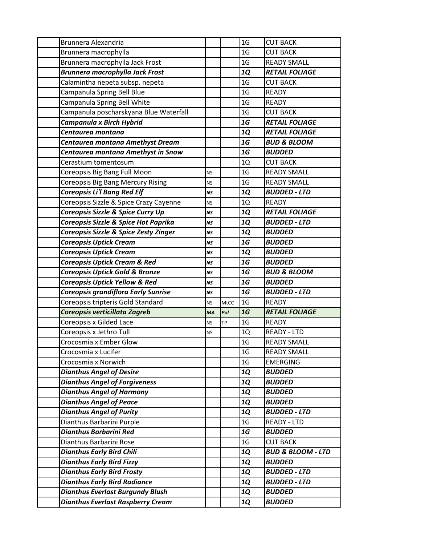| Brunnera Alexandria                       |           |      | 1 <sub>G</sub> | <b>CUT BACK</b>              |
|-------------------------------------------|-----------|------|----------------|------------------------------|
| Brunnera macrophylla                      |           |      | 1 <sub>G</sub> | <b>CUT BACK</b>              |
| Brunnera macrophylla Jack Frost           |           |      | 1 <sub>G</sub> | <b>READY SMALL</b>           |
| <b>Brunnera macrophylla Jack Frost</b>    |           |      | <b>1Q</b>      | <b>RETAIL FOLIAGE</b>        |
| Calamintha nepeta subsp. nepeta           |           |      | 1 <sub>G</sub> | <b>CUT BACK</b>              |
| Campanula Spring Bell Blue                |           |      | 1 <sub>G</sub> | <b>READY</b>                 |
| Campanula Spring Bell White               |           |      | 1 <sub>G</sub> | <b>READY</b>                 |
| Campanula poscharskyana Blue Waterfall    |           |      | 1 <sub>G</sub> | <b>CUT BACK</b>              |
| Campanula x Birch Hybrid                  |           |      | 1G             | <b>RETAIL FOLIAGE</b>        |
| Centaurea montana                         |           |      | <b>1Q</b>      | <b>RETAIL FOLIAGE</b>        |
| Centaurea montana Amethyst Dream          |           |      | 1G             | <b>BUD &amp; BLOOM</b>       |
| Centaurea montana Amethyst in Snow        |           |      | 1G             | <b>BUDDED</b>                |
| Cerastium tomentosum                      |           |      | 1Q             | <b>CUT BACK</b>              |
| Coreopsis Big Bang Full Moon              | <b>NS</b> |      | 1 <sub>G</sub> | <b>READY SMALL</b>           |
| <b>Coreopsis Big Bang Mercury Rising</b>  | <b>NS</b> |      | 1 <sub>G</sub> | <b>READY SMALL</b>           |
| <b>Coreopsis Li'l Bang Red Elf</b>        | <b>NS</b> |      | 1Q             | <b>BUDDED - LTD</b>          |
| Coreopsis Sizzle & Spice Crazy Cayenne    | NS        |      | 1Q             | <b>READY</b>                 |
| Coreopsis Sizzle & Spice Curry Up         | NS        |      | <b>1Q</b>      | <b>RETAIL FOLIAGE</b>        |
| Coreopsis Sizzle & Spice Hot Paprika      | <b>NS</b> |      | <b>1Q</b>      | <b>BUDDED - LTD</b>          |
| Coreopsis Sizzle & Spice Zesty Zinger     | <b>NS</b> |      | <b>1Q</b>      | <b>BUDDED</b>                |
| <b>Coreopsis Uptick Cream</b>             | <b>NS</b> |      | 1G             | <b>BUDDED</b>                |
| <b>Coreopsis Uptick Cream</b>             | NS        |      | 1Q             | <b>BUDDED</b>                |
| <b>Coreopsis Uptick Cream &amp; Red</b>   | <b>NS</b> |      | 1G             | <b>BUDDED</b>                |
| <b>Coreopsis Uptick Gold &amp; Bronze</b> | <b>NS</b> |      | 1G             | <b>BUD &amp; BLOOM</b>       |
| <b>Coreopsis Uptick Yellow &amp; Red</b>  | <b>NS</b> |      | 1G             | <b>BUDDED</b>                |
| Coreopsis grandiflora Early Sunrise       | <b>NS</b> |      | 1G             | <b>BUDDED - LTD</b>          |
| Coreopsis tripteris Gold Standard         | <b>NS</b> | MtCC | 1 <sub>G</sub> | <b>READY</b>                 |
| Coreopsis verticillata Zagreb             | MA        | Pol  | 1G             | <b>RETAIL FOLIAGE</b>        |
| Coreopsis x Gilded Lace                   | <b>NS</b> | ТP   | 1 <sub>G</sub> | <b>READY</b>                 |
| Coreopsis x Jethro Tull                   | <b>NS</b> |      | 1Q             | <b>READY - LTD</b>           |
| Crocosmia x Ember Glow                    |           |      | 1 <sub>G</sub> | <b>READY SMALL</b>           |
| Crocosmia x Lucifer                       |           |      | 1 <sub>G</sub> | <b>READY SMALL</b>           |
| Crocosmia x Norwich                       |           |      | 1 <sub>G</sub> | <b>EMERGING</b>              |
| <b>Dianthus Angel of Desire</b>           |           |      | <b>1Q</b>      | <b>BUDDED</b>                |
| <b>Dianthus Angel of Forgiveness</b>      |           |      | <b>1Q</b>      | <b>BUDDED</b>                |
| <b>Dianthus Angel of Harmony</b>          |           |      | <b>1Q</b>      | <b>BUDDED</b>                |
| <b>Dianthus Angel of Peace</b>            |           |      | <b>1Q</b>      | <b>BUDDED</b>                |
| <b>Dianthus Angel of Purity</b>           |           |      | <b>1Q</b>      | <b>BUDDED - LTD</b>          |
| Dianthus Barbarini Purple                 |           |      | 1 <sub>G</sub> | <b>READY - LTD</b>           |
| <b>Dianthus Barbarini Red</b>             |           |      | 1G             | <b>BUDDED</b>                |
| Dianthus Barbarini Rose                   |           |      | 1 <sub>G</sub> | <b>CUT BACK</b>              |
| <b>Dianthus Early Bird Chili</b>          |           |      | 1Q             | <b>BUD &amp; BLOOM - LTD</b> |
| <b>Dianthus Early Bird Fizzy</b>          |           |      | <b>1Q</b>      | <b>BUDDED</b>                |
| <b>Dianthus Early Bird Frosty</b>         |           |      | 1Q             | <b>BUDDED - LTD</b>          |
| <b>Dianthus Early Bird Radiance</b>       |           |      | <b>1Q</b>      | <b>BUDDED - LTD</b>          |
| <b>Dianthus Everlast Burgundy Blush</b>   |           |      | <b>1Q</b>      | <b>BUDDED</b>                |
| <b>Dianthus Everlast Raspberry Cream</b>  |           |      | <b>1Q</b>      | <b>BUDDED</b>                |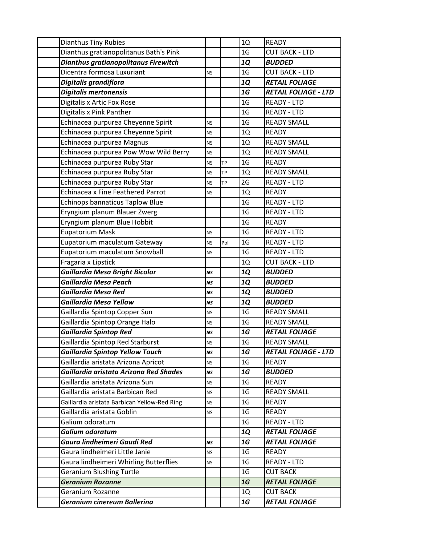| <b>Dianthus Tiny Rubies</b>                  |           |           | 1Q             | <b>READY</b>                |
|----------------------------------------------|-----------|-----------|----------------|-----------------------------|
| Dianthus gratianopolitanus Bath's Pink       |           |           | 1 <sub>G</sub> | <b>CUT BACK - LTD</b>       |
| Dianthus gratianopolitanus Firewitch         |           |           | 1Q             | <b>BUDDED</b>               |
| Dicentra formosa Luxuriant                   | <b>NS</b> |           | 1 <sub>G</sub> | <b>CUT BACK - LTD</b>       |
| Digitalis grandiflora                        |           |           | <b>1Q</b>      | <b>RETAIL FOLIAGE</b>       |
| <b>Digitalis mertonensis</b>                 |           |           | 1G             | <b>RETAIL FOLIAGE - LTD</b> |
| Digitalis x Artic Fox Rose                   |           |           | 1 <sub>G</sub> | <b>READY - LTD</b>          |
| Digitalis x Pink Panther                     |           |           | 1 <sub>G</sub> | <b>READY - LTD</b>          |
| Echinacea purpurea Cheyenne Spirit           | <b>NS</b> |           | 1 <sub>G</sub> | <b>READY SMALL</b>          |
| Echinacea purpurea Cheyenne Spirit           | <b>NS</b> |           | 1Q             | <b>READY</b>                |
| Echinacea purpurea Magnus                    | <b>NS</b> |           | 1Q             | <b>READY SMALL</b>          |
| Echinacea purpurea Pow Wow Wild Berry        | <b>NS</b> |           | 1Q             | <b>READY SMALL</b>          |
| Echinacea purpurea Ruby Star                 | <b>NS</b> | <b>TP</b> | 1 <sub>G</sub> | <b>READY</b>                |
| Echinacea purpurea Ruby Star                 | <b>NS</b> | <b>TP</b> | 1Q             | <b>READY SMALL</b>          |
| Echinacea purpurea Ruby Star                 | <b>NS</b> | <b>TP</b> | 2G             | <b>READY - LTD</b>          |
| Echinacea x Fine Feathered Parrot            | <b>NS</b> |           | 1Q             | <b>READY</b>                |
| Echinops bannaticus Taplow Blue              |           |           | 1 <sub>G</sub> | <b>READY - LTD</b>          |
| Eryngium planum Blauer Zwerg                 |           |           | 1 <sub>G</sub> | <b>READY - LTD</b>          |
| Eryngium planum Blue Hobbit                  |           |           | 1 <sub>G</sub> | <b>READY</b>                |
| Eupatorium Mask                              | <b>NS</b> |           | 1 <sub>G</sub> | <b>READY - LTD</b>          |
| Eupatorium maculatum Gateway                 | <b>NS</b> | Pol       | 1 <sub>G</sub> | <b>READY - LTD</b>          |
| Eupatorium maculatum Snowball                | <b>NS</b> |           | 1 <sub>G</sub> | <b>READY - LTD</b>          |
| Fragaria x Lipstick                          |           |           | 1Q             | <b>CUT BACK - LTD</b>       |
| <b>Gaillardia Mesa Bright Bicolor</b>        | <b>NS</b> |           | 1Q             | <b>BUDDED</b>               |
| <b>Gaillardia Mesa Peach</b>                 | <b>NS</b> |           | 1Q             | <b>BUDDED</b>               |
| <b>Gaillardia Mesa Red</b>                   | <b>NS</b> |           | 1Q             | <b>BUDDED</b>               |
| Gaillardia Mesa Yellow                       | <b>NS</b> |           | 1Q             | <b>BUDDED</b>               |
| Gaillardia Spintop Copper Sun                | <b>NS</b> |           | 1 <sub>G</sub> | <b>READY SMALL</b>          |
| Gaillardia Spintop Orange Halo               | <b>NS</b> |           | 1 <sub>G</sub> | <b>READY SMALL</b>          |
| <b>Gaillardia Spintop Red</b>                | NS        |           | 1G             | <b>RETAIL FOLIAGE</b>       |
| Gaillardia Spintop Red Starburst             | <b>NS</b> |           | 1 <sub>G</sub> | <b>READY SMALL</b>          |
| <b>Gaillardia Spintop Yellow Touch</b>       | <b>NS</b> |           | 1G             | <b>RETAIL FOLIAGE - LTD</b> |
| Gaillardia aristata Arizona Apricot          | <b>NS</b> |           | 1 <sub>G</sub> | <b>READY</b>                |
| Gaillardia aristata Arizona Red Shades       | <b>NS</b> |           | 1G             | <b>BUDDED</b>               |
| Gaillardia aristata Arizona Sun              | <b>NS</b> |           | 1 <sub>G</sub> | <b>READY</b>                |
| Gaillardia aristata Barbican Red             | <b>NS</b> |           | 1 <sub>G</sub> | <b>READY SMALL</b>          |
| Gaillardia aristata Barbican Yellow-Red Ring | <b>NS</b> |           | 1 <sub>G</sub> | <b>READY</b>                |
| Gaillardia aristata Goblin                   | <b>NS</b> |           | 1 <sub>G</sub> | <b>READY</b>                |
| Galium odoratum                              |           |           | 1 <sub>G</sub> | <b>READY - LTD</b>          |
| Galium odoratum                              |           |           | <b>1Q</b>      | <b>RETAIL FOLIAGE</b>       |
| Gaura lindheimeri Gaudi Red                  | <b>NS</b> |           | 1G             | <b>RETAIL FOLIAGE</b>       |
| Gaura lindheimeri Little Janie               | <b>NS</b> |           | 1 <sub>G</sub> | <b>READY</b>                |
| Gaura lindheimeri Whirling Butterflies       | <b>NS</b> |           | 1 <sub>G</sub> | <b>READY - LTD</b>          |
| <b>Geranium Blushing Turtle</b>              |           |           | 1 <sub>G</sub> | <b>CUT BACK</b>             |
| <b>Geranium Rozanne</b>                      |           |           | 1G             | <b>RETAIL FOLIAGE</b>       |
| Geranium Rozanne                             |           |           | 1Q             | <b>CUT BACK</b>             |
| Geranium cinereum Ballerina                  |           |           | 1G             | <b>RETAIL FOLIAGE</b>       |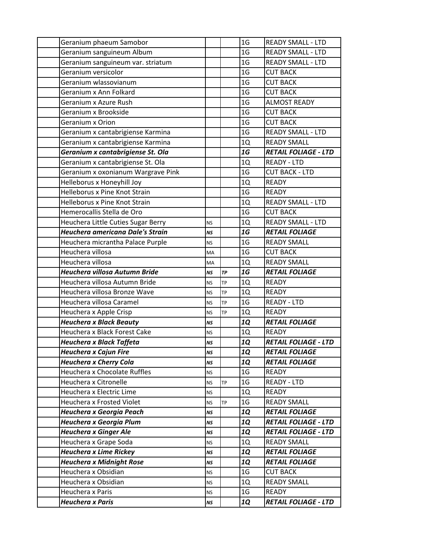| Geranium phaeum Samobor              |           |           | 1 <sub>G</sub> | <b>READY SMALL - LTD</b>    |
|--------------------------------------|-----------|-----------|----------------|-----------------------------|
| Geranium sanguineum Album            |           |           | 1 <sub>G</sub> | <b>READY SMALL - LTD</b>    |
| Geranium sanguineum var. striatum    |           |           | 1 <sub>G</sub> | <b>READY SMALL - LTD</b>    |
| Geranium versicolor                  |           |           | 1 <sub>G</sub> | <b>CUT BACK</b>             |
| Geranium wlassovianum                |           |           | 1 <sub>G</sub> | <b>CUT BACK</b>             |
| Geranium x Ann Folkard               |           |           | 1 <sub>G</sub> | <b>CUT BACK</b>             |
| Geranium x Azure Rush                |           |           | 1 <sub>G</sub> | <b>ALMOST READY</b>         |
| Geranium x Brookside                 |           |           | 1 <sub>G</sub> | <b>CUT BACK</b>             |
| Geranium x Orion                     |           |           | 1 <sub>G</sub> | <b>CUT BACK</b>             |
| Geranium x cantabrigiense Karmina    |           |           | 1 <sub>G</sub> | <b>READY SMALL - LTD</b>    |
| Geranium x cantabrigiense Karmina    |           |           | 1Q             | <b>READY SMALL</b>          |
| Geranium x cantabrigiense St. Ola    |           |           | 1G             | <b>RETAIL FOLIAGE - LTD</b> |
| Geranium x cantabrigiense St. Ola    |           |           | 1Q             | <b>READY - LTD</b>          |
| Geranium x oxonianum Wargrave Pink   |           |           | 1 <sub>G</sub> | <b>CUT BACK - LTD</b>       |
| Helleborus x Honeyhill Joy           |           |           | 1Q             | <b>READY</b>                |
| <b>Helleborus x Pine Knot Strain</b> |           |           | 1 <sub>G</sub> | <b>READY</b>                |
| Helleborus x Pine Knot Strain        |           |           | 1Q             | <b>READY SMALL - LTD</b>    |
| Hemerocallis Stella de Oro           |           |           | 1 <sub>G</sub> | <b>CUT BACK</b>             |
| Heuchera Little Cuties Sugar Berry   | <b>NS</b> |           | 1Q             | <b>READY SMALL - LTD</b>    |
| Heuchera americana Dale's Strain     | NS        |           | 1G             | <b>RETAIL FOLIAGE</b>       |
| Heuchera micrantha Palace Purple     | NS.       |           | 1 <sub>G</sub> | <b>READY SMALL</b>          |
| Heuchera villosa                     | MA        |           | 1 <sub>G</sub> | <b>CUT BACK</b>             |
| Heuchera villosa                     | MA        |           | 1Q             | <b>READY SMALL</b>          |
| Heuchera villosa Autumn Bride        | <b>NS</b> | ТP        | 1G             | <b>RETAIL FOLIAGE</b>       |
| Heuchera villosa Autumn Bride        | <b>NS</b> | <b>TP</b> | 1Q             | <b>READY</b>                |
| Heuchera villosa Bronze Wave         | <b>NS</b> | <b>TP</b> | 1Q             | <b>READY</b>                |
| Heuchera villosa Caramel             | <b>NS</b> | <b>TP</b> | 1 <sub>G</sub> | <b>READY - LTD</b>          |
| Heuchera x Apple Crisp               | NS.       | TP        | 1Q             | <b>READY</b>                |
| <b>Heuchera x Black Beauty</b>       | NS        |           | <b>1Q</b>      | <b>RETAIL FOLIAGE</b>       |
| Heuchera x Black Forest Cake         | <b>NS</b> |           | 1Q             | <b>READY</b>                |
| Heuchera x Black Taffeta             | <b>NS</b> |           | <b>1Q</b>      | <b>RETAIL FOLIAGE - LTD</b> |
| <b>Heuchera x Cajun Fire</b>         | <b>NS</b> |           | <b>1Q</b>      | <b>RETAIL FOLIAGE</b>       |
| <b>Heuchera x Cherry Cola</b>        | <b>NS</b> |           | <b>1Q</b>      | <b>RETAIL FOLIAGE</b>       |
| Heuchera x Chocolate Ruffles         | NS.       |           | 1 <sub>G</sub> | <b>READY</b>                |
| Heuchera x Citronelle                | NS.       | TP        | 1 <sub>G</sub> | <b>READY - LTD</b>          |
| Heuchera x Electric Lime             | NS.       |           | 1Q             | <b>READY</b>                |
| Heuchera x Frosted Violet            | <b>NS</b> | TP        | 1 <sub>G</sub> | <b>READY SMALL</b>          |
| Heuchera x Georgia Peach             | <b>NS</b> |           | <b>1Q</b>      | <b>RETAIL FOLIAGE</b>       |
| Heuchera x Georgia Plum              | NS        |           | <b>1Q</b>      | <b>RETAIL FOLIAGE - LTD</b> |
| <b>Heuchera x Ginger Ale</b>         | NS        |           | <b>1Q</b>      | <b>RETAIL FOLIAGE - LTD</b> |
| Heuchera x Grape Soda                | ΝS        |           | 1Q             | <b>READY SMALL</b>          |
| <b>Heuchera x Lime Rickey</b>        | <b>NS</b> |           | <b>1Q</b>      | <b>RETAIL FOLIAGE</b>       |
| <b>Heuchera x Midnight Rose</b>      | NS        |           | <b>1Q</b>      | <b>RETAIL FOLIAGE</b>       |
| Heuchera x Obsidian                  | <b>NS</b> |           | 1 <sub>G</sub> | <b>CUT BACK</b>             |
| Heuchera x Obsidian                  | <b>NS</b> |           | 1Q             | <b>READY SMALL</b>          |
| Heuchera x Paris                     | NS.       |           | 1 <sub>G</sub> | <b>READY</b>                |
| <b>Heuchera x Paris</b>              | NS        |           | <b>1Q</b>      | <b>RETAIL FOLIAGE - LTD</b> |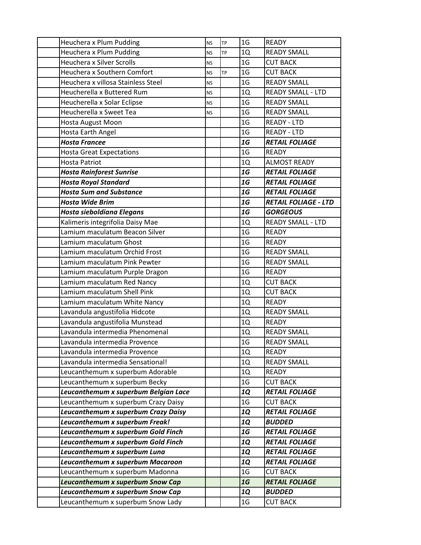| Heuchera x Plum Pudding              | <b>NS</b> | TP | 1 <sub>G</sub> | <b>READY</b>                |
|--------------------------------------|-----------|----|----------------|-----------------------------|
| Heuchera x Plum Pudding              | <b>NS</b> | TP | 1Q             | <b>READY SMALL</b>          |
| <b>Heuchera x Silver Scrolls</b>     | <b>NS</b> |    | 1 <sub>G</sub> | <b>CUT BACK</b>             |
| Heuchera x Southern Comfort          | <b>NS</b> | TP | 1 <sub>G</sub> | <b>CUT BACK</b>             |
| Heuchera x villosa Stainless Steel   | <b>NS</b> |    | 1 <sub>G</sub> | <b>READY SMALL</b>          |
| Heucherella x Buttered Rum           | <b>NS</b> |    | 1Q             | <b>READY SMALL - LTD</b>    |
| Heucherella x Solar Eclipse          | <b>NS</b> |    | 1 <sub>G</sub> | <b>READY SMALL</b>          |
| Heucherella x Sweet Tea              | <b>NS</b> |    | 1 <sub>G</sub> | <b>READY SMALL</b>          |
| Hosta August Moon                    |           |    | 1 <sub>G</sub> | <b>READY - LTD</b>          |
| Hosta Earth Angel                    |           |    | 1 <sub>G</sub> | <b>READY - LTD</b>          |
| <b>Hosta Francee</b>                 |           |    | 1G             | <b>RETAIL FOLIAGE</b>       |
| <b>Hosta Great Expectations</b>      |           |    | 1 <sub>G</sub> | <b>READY</b>                |
| <b>Hosta Patriot</b>                 |           |    | 1Q             | <b>ALMOST READY</b>         |
| <b>Hosta Rainforest Sunrise</b>      |           |    | 1G             | <b>RETAIL FOLIAGE</b>       |
| <b>Hosta Royal Standard</b>          |           |    | 1G             | <b>RETAIL FOLIAGE</b>       |
| <b>Hosta Sum and Substance</b>       |           |    | 1G             | <b>RETAIL FOLIAGE</b>       |
| <b>Hosta Wide Brim</b>               |           |    | 1G             | <b>RETAIL FOLIAGE - LTD</b> |
| Hosta sieboldiana Elegans            |           |    | 1G             | <b>GORGEOUS</b>             |
| Kalimeris integrifolia Daisy Mae     |           |    | 1Q             | <b>READY SMALL - LTD</b>    |
| Lamium maculatum Beacon Silver       |           |    | 1 <sub>G</sub> | <b>READY</b>                |
| Lamium maculatum Ghost               |           |    | 1 <sub>G</sub> | <b>READY</b>                |
| Lamium maculatum Orchid Frost        |           |    | 1 <sub>G</sub> | <b>READY SMALL</b>          |
| Lamium maculatum Pink Pewter         |           |    | 1 <sub>G</sub> | <b>READY SMALL</b>          |
| Lamium maculatum Purple Dragon       |           |    | 1 <sub>G</sub> | <b>READY</b>                |
| Lamium maculatum Red Nancy           |           |    | 1Q             | <b>CUT BACK</b>             |
| Lamium maculatum Shell Pink          |           |    | 1Q             | <b>CUT BACK</b>             |
| Lamium maculatum White Nancy         |           |    | 1Q             | <b>READY</b>                |
| Lavandula angustifolia Hidcote       |           |    | 1Q             | <b>READY SMALL</b>          |
| Lavandula angustifolia Munstead      |           |    | 1Q             | <b>READY</b>                |
| Lavandula intermedia Phenomenal      |           |    | 1Q             | <b>READY SMALL</b>          |
| Lavandula intermedia Provence        |           |    | 1 <sub>G</sub> | <b>READY SMALL</b>          |
| Lavandula intermedia Provence        |           |    | 1Q             | <b>READY</b>                |
| Lavandula intermedia Sensational!    |           |    | 1Q             | <b>READY SMALL</b>          |
| Leucanthemum x superbum Adorable     |           |    | 1Q             | <b>READY</b>                |
| Leucanthemum x superbum Becky        |           |    | 1 <sub>G</sub> | <b>CUT BACK</b>             |
| Leucanthemum x superbum Belgian Lace |           |    | <b>1Q</b>      | <b>RETAIL FOLIAGE</b>       |
| Leucanthemum x superbum Crazy Daisy  |           |    | 1 <sub>G</sub> | <b>CUT BACK</b>             |
| Leucanthemum x superbum Crazy Daisy  |           |    | <b>1Q</b>      | <b>RETAIL FOLIAGE</b>       |
| Leucanthemum x superbum Freak!       |           |    | <b>1Q</b>      | <b>BUDDED</b>               |
| Leucanthemum x superbum Gold Finch   |           |    | 1G             | <b>RETAIL FOLIAGE</b>       |
| Leucanthemum x superbum Gold Finch   |           |    | <b>1Q</b>      | <b>RETAIL FOLIAGE</b>       |
| Leucanthemum x superbum Luna         |           |    | <b>1Q</b>      | <b>RETAIL FOLIAGE</b>       |
| Leucanthemum x superbum Macaroon     |           |    | <b>1Q</b>      | <b>RETAIL FOLIAGE</b>       |
| Leucanthemum x superbum Madonna      |           |    | 1 <sub>G</sub> | <b>CUT BACK</b>             |
| Leucanthemum x superbum Snow Cap     |           |    | 1G             | <b>RETAIL FOLIAGE</b>       |
| Leucanthemum x superbum Snow Cap     |           |    | <b>1Q</b>      | <b>BUDDED</b>               |
| Leucanthemum x superbum Snow Lady    |           |    | 1 <sub>G</sub> | <b>CUT BACK</b>             |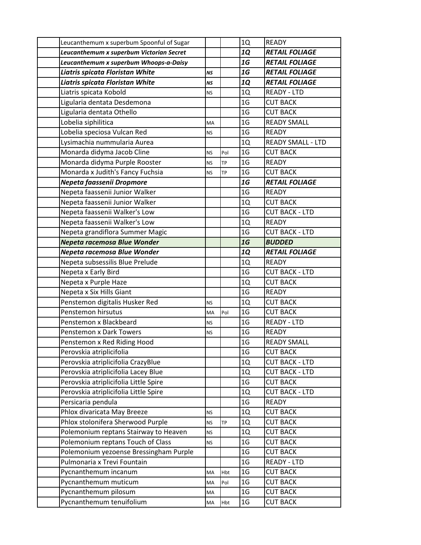| Leucanthemum x superbum Spoonful of Sugar |           |           | 1Q             | <b>READY</b>             |
|-------------------------------------------|-----------|-----------|----------------|--------------------------|
| Leucanthemum x superbum Victorian Secret  |           |           | <b>1Q</b>      | <b>RETAIL FOLIAGE</b>    |
| Leucanthemum x superbum Whoops-a-Daisy    |           |           | 1G             | <b>RETAIL FOLIAGE</b>    |
| Liatris spicata Floristan White           | <b>NS</b> |           | 1G             | <b>RETAIL FOLIAGE</b>    |
| Liatris spicata Floristan White           | <b>NS</b> |           | <b>1Q</b>      | <b>RETAIL FOLIAGE</b>    |
| Liatris spicata Kobold                    | <b>NS</b> |           | 1Q             | <b>READY - LTD</b>       |
| Ligularia dentata Desdemona               |           |           | 1 <sub>G</sub> | <b>CUT BACK</b>          |
| Ligularia dentata Othello                 |           |           | 1 <sub>G</sub> | <b>CUT BACK</b>          |
| Lobelia siphilitica                       | <b>MA</b> |           | 1 <sub>G</sub> | <b>READY SMALL</b>       |
| Lobelia speciosa Vulcan Red               | ΝS        |           | 1 <sub>G</sub> | <b>READY</b>             |
| Lysimachia nummularia Aurea               |           |           | 1Q             | <b>READY SMALL - LTD</b> |
| Monarda didyma Jacob Cline                | <b>NS</b> | Pol       | 1 <sub>G</sub> | <b>CUT BACK</b>          |
| Monarda didyma Purple Rooster             | <b>NS</b> | TP        | 1 <sub>G</sub> | <b>READY</b>             |
| Monarda x Judith's Fancy Fuchsia          | <b>NS</b> | <b>TP</b> | 1 <sub>G</sub> | <b>CUT BACK</b>          |
| Nepeta faassenii Dropmore                 |           |           | 1G             | <b>RETAIL FOLIAGE</b>    |
| Nepeta faassenii Junior Walker            |           |           | 1 <sub>G</sub> | <b>READY</b>             |
| Nepeta faassenii Junior Walker            |           |           | 1Q             | <b>CUT BACK</b>          |
| Nepeta faassenii Walker's Low             |           |           | 1 <sub>G</sub> | <b>CUT BACK - LTD</b>    |
| Nepeta faassenii Walker's Low             |           |           | 1Q             | <b>READY</b>             |
| Nepeta grandiflora Summer Magic           |           |           | 1 <sub>G</sub> | <b>CUT BACK - LTD</b>    |
| Nepeta racemosa Blue Wonder               |           |           | 1G             | <b>BUDDED</b>            |
| Nepeta racemosa Blue Wonder               |           |           | 1Q             | <b>RETAIL FOLIAGE</b>    |
| Nepeta subsessilis Blue Prelude           |           |           | 1Q             | <b>READY</b>             |
| Nepeta x Early Bird                       |           |           | 1 <sub>G</sub> | <b>CUT BACK - LTD</b>    |
| Nepeta x Purple Haze                      |           |           | 1Q             | <b>CUT BACK</b>          |
| Nepeta x Six Hills Giant                  |           |           | 1 <sub>G</sub> | <b>READY</b>             |
| Penstemon digitalis Husker Red            | <b>NS</b> |           | 1Q             | <b>CUT BACK</b>          |
| Penstemon hirsutus                        | MA        | Pol       | 1 <sub>G</sub> | <b>CUT BACK</b>          |
| Penstemon x Blackbeard                    | NS.       |           | 1 <sub>G</sub> | <b>READY - LTD</b>       |
| <b>Penstemon x Dark Towers</b>            | <b>NS</b> |           | 1 <sub>G</sub> | <b>READY</b>             |
| Penstemon x Red Riding Hood               |           |           | 1 <sub>G</sub> | <b>READY SMALL</b>       |
| Perovskia atriplicifolia                  |           |           | 1 <sub>G</sub> | <b>CUT BACK</b>          |
| Perovskia atriplicifolia CrazyBlue        |           |           | 1Q             | <b>CUT BACK - LTD</b>    |
| Perovskia atriplicifolia Lacey Blue       |           |           | 1Q             | <b>CUT BACK - LTD</b>    |
| Perovskia atriplicifolia Little Spire     |           |           | 1 <sub>G</sub> | <b>CUT BACK</b>          |
| Perovskia atriplicifolia Little Spire     |           |           | 1Q             | <b>CUT BACK - LTD</b>    |
| Persicaria pendula                        |           |           | 1 <sub>G</sub> | <b>READY</b>             |
| Phlox divaricata May Breeze               | <b>NS</b> |           | 1Q             | <b>CUT BACK</b>          |
| Phlox stolonifera Sherwood Purple         | <b>NS</b> | ТP        | 1Q             | <b>CUT BACK</b>          |
| Polemonium reptans Stairway to Heaven     | <b>NS</b> |           | 1Q             | <b>CUT BACK</b>          |
| Polemonium reptans Touch of Class         | <b>NS</b> |           | 1 <sub>G</sub> | <b>CUT BACK</b>          |
| Polemonium yezoense Bressingham Purple    |           |           | 1 <sub>G</sub> | <b>CUT BACK</b>          |
| Pulmonaria x Trevi Fountain               |           |           | 1 <sub>G</sub> | <b>READY - LTD</b>       |
| Pycnanthemum incanum                      | MA        | Hbt       | 1 <sub>G</sub> | <b>CUT BACK</b>          |
| Pycnanthemum muticum                      | MA        | Pol       | 1 <sub>G</sub> | <b>CUT BACK</b>          |
| Pycnanthemum pilosum                      | MA        |           | 1 <sub>G</sub> | <b>CUT BACK</b>          |
| Pycnanthemum tenuifolium                  | MA        | Hbt       | 1 <sub>G</sub> | <b>CUT BACK</b>          |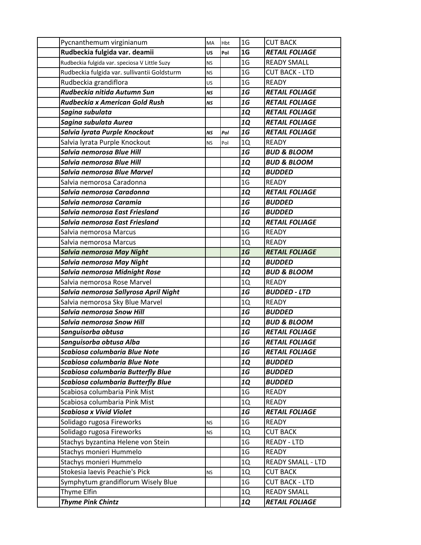| Pycnanthemum virginianum                      | MA        | Hbt | 1 <sub>G</sub> | <b>CUT BACK</b>          |
|-----------------------------------------------|-----------|-----|----------------|--------------------------|
| Rudbeckia fulgida var. deamii                 | <b>US</b> | Pol | 1 <sub>G</sub> | <b>RETAIL FOLIAGE</b>    |
| Rudbeckia fulgida var. speciosa V Little Suzy | <b>NS</b> |     | 1 <sub>G</sub> | <b>READY SMALL</b>       |
| Rudbeckia fulgida var. sullivantii Goldsturm  | <b>NS</b> |     | 1 <sub>G</sub> | <b>CUT BACK - LTD</b>    |
| Rudbeckia grandiflora                         | US        |     | 1 <sub>G</sub> | <b>READY</b>             |
| Rudbeckia nitida Autumn Sun                   | NS        |     | 1G             | <b>RETAIL FOLIAGE</b>    |
| Rudbeckia x American Gold Rush                | <b>NS</b> |     | 1G             | <b>RETAIL FOLIAGE</b>    |
| Sagina subulata                               |           |     | <b>1Q</b>      | <b>RETAIL FOLIAGE</b>    |
| Sagina subulata Aurea                         |           |     | 1Q             | <b>RETAIL FOLIAGE</b>    |
| Salvia lyrata Purple Knockout                 | <b>NS</b> | Pol | 1G             | <b>RETAIL FOLIAGE</b>    |
| Salvia lyrata Purple Knockout                 | <b>NS</b> | Pol | 1Q             | <b>READY</b>             |
| Salvia nemorosa Blue Hill                     |           |     | 1G             | <b>BUD &amp; BLOOM</b>   |
| Salvia nemorosa Blue Hill                     |           |     | <b>1Q</b>      | <b>BUD &amp; BLOOM</b>   |
| Salvia nemorosa Blue Marvel                   |           |     | <b>1Q</b>      | <b>BUDDED</b>            |
| Salvia nemorosa Caradonna                     |           |     | 1 <sub>G</sub> | <b>READY</b>             |
| Salvia nemorosa Caradonna                     |           |     | <b>1Q</b>      | <b>RETAIL FOLIAGE</b>    |
| Salvia nemorosa Caramia                       |           |     | 1G             | <b>BUDDED</b>            |
| Salvia nemorosa East Friesland                |           |     | 1G             | <b>BUDDED</b>            |
| Salvia nemorosa East Friesland                |           |     | <b>1Q</b>      | <b>RETAIL FOLIAGE</b>    |
| Salvia nemorosa Marcus                        |           |     | 1 <sub>G</sub> | <b>READY</b>             |
| Salvia nemorosa Marcus                        |           |     | 1Q             | <b>READY</b>             |
| Salvia nemorosa May Night                     |           |     | 1G             | <b>RETAIL FOLIAGE</b>    |
| Salvia nemorosa May Night                     |           |     | 1Q             | <b>BUDDED</b>            |
| Salvia nemorosa Midnight Rose                 |           |     | <b>1Q</b>      | <b>BUD &amp; BLOOM</b>   |
| Salvia nemorosa Rose Marvel                   |           |     | 1Q             | <b>READY</b>             |
| Salvia nemorosa Sallyrosa April Night         |           |     | 1G             | <b>BUDDED - LTD</b>      |
| Salvia nemorosa Sky Blue Marvel               |           |     | 1Q             | <b>READY</b>             |
| Salvia nemorosa Snow Hill                     |           |     | 1G             | <b>BUDDED</b>            |
| Salvia nemorosa Snow Hill                     |           |     | <b>1Q</b>      | <b>BUD &amp; BLOOM</b>   |
| Sanguisorba obtusa                            |           |     | 1G             | <b>RETAIL FOLIAGE</b>    |
| Sanguisorba obtusa Alba                       |           |     | 1G             | <b>RETAIL FOLIAGE</b>    |
| Scabiosa columbaria Blue Note                 |           |     | 1G             | <b>RETAIL FOLIAGE</b>    |
| Scabiosa columbaria Blue Note                 |           |     | <b>1Q</b>      | <b>BUDDED</b>            |
| <b>Scabiosa columbaria Butterfly Blue</b>     |           |     | 1G             | <b>BUDDED</b>            |
| <b>Scabiosa columbaria Butterfly Blue</b>     |           |     | 1Q             | <b>BUDDED</b>            |
| Scabiosa columbaria Pink Mist                 |           |     | 1 <sub>G</sub> | <b>READY</b>             |
| Scabiosa columbaria Pink Mist                 |           |     | 1Q             | <b>READY</b>             |
| <b>Scabiosa x Vivid Violet</b>                |           |     | 1G             | <b>RETAIL FOLIAGE</b>    |
| Solidago rugosa Fireworks                     | <b>NS</b> |     | 1 <sub>G</sub> | <b>READY</b>             |
| Solidago rugosa Fireworks                     | <b>NS</b> |     | 1Q             | <b>CUT BACK</b>          |
| Stachys byzantina Helene von Stein            |           |     | 1 <sub>G</sub> | <b>READY - LTD</b>       |
| Stachys monieri Hummelo                       |           |     | 1 <sub>G</sub> | <b>READY</b>             |
| Stachys monieri Hummelo                       |           |     | 1Q             | <b>READY SMALL - LTD</b> |
| Stokesia laevis Peachie's Pick                | <b>NS</b> |     | 1Q             | <b>CUT BACK</b>          |
| Symphytum grandiflorum Wisely Blue            |           |     | 1 <sub>G</sub> | <b>CUT BACK - LTD</b>    |
| Thyme Elfin                                   |           |     | 1Q             | <b>READY SMALL</b>       |
| <b>Thyme Pink Chintz</b>                      |           |     | <b>1Q</b>      | <b>RETAIL FOLIAGE</b>    |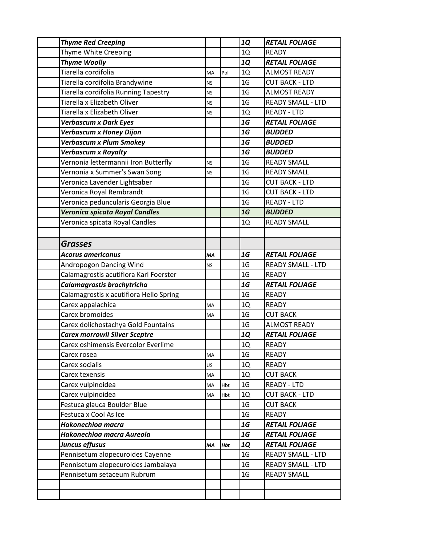| <b>Thyme Red Creeping</b>               |           |     | <b>1Q</b>      | <b>RETAIL FOLIAGE</b>    |
|-----------------------------------------|-----------|-----|----------------|--------------------------|
| Thyme White Creeping                    |           |     | 1Q             | <b>READY</b>             |
| <b>Thyme Woolly</b>                     |           |     | <b>1Q</b>      | <b>RETAIL FOLIAGE</b>    |
| Tiarella cordifolia                     | MA        | Pol | 1Q             | <b>ALMOST READY</b>      |
| Tiarella cordifolia Brandywine          | <b>NS</b> |     | 1 <sub>G</sub> | <b>CUT BACK - LTD</b>    |
| Tiarella cordifolia Running Tapestry    | <b>NS</b> |     | 1 <sub>G</sub> | <b>ALMOST READY</b>      |
| Tiarella x Elizabeth Oliver             | <b>NS</b> |     | 1 <sub>G</sub> | <b>READY SMALL - LTD</b> |
| Tiarella x Elizabeth Oliver             | <b>NS</b> |     | 1Q             | <b>READY - LTD</b>       |
| <b>Verbascum x Dark Eyes</b>            |           |     | 1G             | <b>RETAIL FOLIAGE</b>    |
| <b>Verbascum x Honey Dijon</b>          |           |     | 1G             | <b>BUDDED</b>            |
| <b>Verbascum x Plum Smokey</b>          |           |     | 1G             | <b>BUDDED</b>            |
| <b>Verbascum x Royalty</b>              |           |     | 1G             | <b>BUDDED</b>            |
| Vernonia lettermannii Iron Butterfly    | <b>NS</b> |     | 1 <sub>G</sub> | <b>READY SMALL</b>       |
| Vernonia x Summer's Swan Song           | <b>NS</b> |     | 1 <sub>G</sub> | <b>READY SMALL</b>       |
| Veronica Lavender Lightsaber            |           |     | 1 <sub>G</sub> | <b>CUT BACK - LTD</b>    |
| Veronica Royal Rembrandt                |           |     | 1 <sub>G</sub> | <b>CUT BACK - LTD</b>    |
| Veronica peduncularis Georgia Blue      |           |     | 1 <sub>G</sub> | <b>READY - LTD</b>       |
| Veronica spicata Royal Candles          |           |     | 1G             | <b>BUDDED</b>            |
| Veronica spicata Royal Candles          |           |     | 1Q             | <b>READY SMALL</b>       |
|                                         |           |     |                |                          |
| <b>Grasses</b>                          |           |     |                |                          |
| <b>Acorus americanus</b>                | МA        |     | 1G             | <b>RETAIL FOLIAGE</b>    |
| Andropogon Dancing Wind                 | <b>NS</b> |     | 1 <sub>G</sub> | <b>READY SMALL - LTD</b> |
| Calamagrostis acutiflora Karl Foerster  |           |     | 1 <sub>G</sub> | <b>READY</b>             |
| Calamagrostis brachytricha              |           |     | 1G             | <b>RETAIL FOLIAGE</b>    |
| Calamagrostis x acutiflora Hello Spring |           |     | 1 <sub>G</sub> | <b>READY</b>             |
| Carex appalachica                       | MA        |     | 1Q             | <b>READY</b>             |
| Carex bromoides                         | MA        |     | 1 <sub>G</sub> | <b>CUT BACK</b>          |
| Carex dolichostachya Gold Fountains     |           |     | 1 <sub>G</sub> | <b>ALMOST READY</b>      |
| <b>Carex morrowii Silver Sceptre</b>    |           |     | <b>1Q</b>      | <b>RETAIL FOLIAGE</b>    |
| Carex oshimensis Evercolor Everlime     |           |     | $1{\rm Q}$     | READY                    |
| Carex rosea                             | MA        |     | 1 <sub>G</sub> | <b>READY</b>             |
| Carex socialis                          | US        |     | 1Q             | <b>READY</b>             |
| Carex texensis                          | MA        |     | 1Q             | <b>CUT BACK</b>          |
| Carex vulpinoidea                       | MA        | Hbt | 1 <sub>G</sub> | READY - LTD              |
| Carex vulpinoidea                       | MA        | Hbt | 1Q             | <b>CUT BACK - LTD</b>    |
| Festuca glauca Boulder Blue             |           |     | 1 <sub>G</sub> | <b>CUT BACK</b>          |
| Festuca x Cool As Ice                   |           |     | 1 <sub>G</sub> | <b>READY</b>             |
| Hakonechloa macra                       |           |     | 1G             | <b>RETAIL FOLIAGE</b>    |
| Hakonechloa macra Aureola               |           |     | 1G             | <b>RETAIL FOLIAGE</b>    |
| Juncus effusus                          | MA        | Hbt | <b>1Q</b>      | <b>RETAIL FOLIAGE</b>    |
| Pennisetum alopecuroides Cayenne        |           |     | 1 <sub>G</sub> | <b>READY SMALL - LTD</b> |
| Pennisetum alopecuroides Jambalaya      |           |     | 1 <sub>G</sub> | <b>READY SMALL - LTD</b> |
| Pennisetum setaceum Rubrum              |           |     | 1 <sub>G</sub> | <b>READY SMALL</b>       |
|                                         |           |     |                |                          |
|                                         |           |     |                |                          |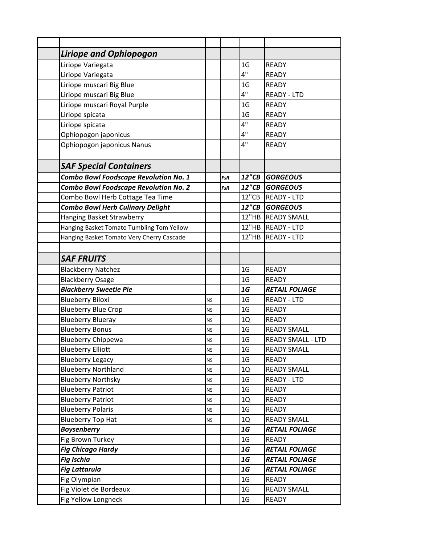| <b>Liriope and Ophiopogon</b>                |           |            |                |                          |
|----------------------------------------------|-----------|------------|----------------|--------------------------|
| Liriope Variegata                            |           |            | 1 <sub>G</sub> | <b>READY</b>             |
| Liriope Variegata                            |           |            | 4"             | <b>READY</b>             |
| Liriope muscari Big Blue                     |           |            | 1 <sub>G</sub> | <b>READY</b>             |
| Liriope muscari Big Blue                     |           |            | 4"             | <b>READY - LTD</b>       |
| Liriope muscari Royal Purple                 |           |            | 1 <sub>G</sub> | <b>READY</b>             |
| Liriope spicata                              |           |            | 1 <sub>G</sub> | <b>READY</b>             |
| Liriope spicata                              |           |            | 4"             | <b>READY</b>             |
| Ophiopogon japonicus                         |           |            | 4"             | <b>READY</b>             |
| Ophiopogon japonicus Nanus                   |           |            | 4"             | <b>READY</b>             |
|                                              |           |            |                |                          |
| <b>SAF Special Containers</b>                |           |            |                |                          |
| <b>Combo Bowl Foodscape Revolution No. 1</b> |           | FsR        |                | 12"CB GORGEOUS           |
| <b>Combo Bowl Foodscape Revolution No. 2</b> |           | <b>FsR</b> |                | 12"CB GORGEOUS           |
| Combo Bowl Herb Cottage Tea Time             |           |            |                | 12"CB READY - LTD        |
| <b>Combo Bowl Herb Culinary Delight</b>      |           |            |                | 12"CB GORGEOUS           |
| Hanging Basket Strawberry                    |           |            |                | 12"HB READY SMALL        |
| Hanging Basket Tomato Tumbling Tom Yellow    |           |            |                | 12"HB READY - LTD        |
| Hanging Basket Tomato Very Cherry Cascade    |           |            |                | 12"HB READY - LTD        |
|                                              |           |            |                |                          |
| <b>SAF FRUITS</b>                            |           |            |                |                          |
| <b>Blackberry Natchez</b>                    |           |            | 1 <sub>G</sub> | <b>READY</b>             |
| <b>Blackberry Osage</b>                      |           |            | 1 <sub>G</sub> | <b>READY</b>             |
| <b>Blackberry Sweetie Pie</b>                |           |            | 1G             | <b>RETAIL FOLIAGE</b>    |
| <b>Blueberry Biloxi</b>                      | <b>NS</b> |            | 1 <sub>G</sub> | <b>READY - LTD</b>       |
| <b>Blueberry Blue Crop</b>                   | <b>NS</b> |            | 1 <sub>G</sub> | <b>READY</b>             |
| <b>Blueberry Blueray</b>                     | <b>NS</b> |            | 1Q             | <b>READY</b>             |
| <b>Blueberry Bonus</b>                       | <b>NS</b> |            | 1 <sub>G</sub> | <b>READY SMALL</b>       |
| <b>Blueberry Chippewa</b>                    | <b>NS</b> |            | 1 <sub>G</sub> | <b>READY SMALL - LTD</b> |
| <b>Blueberry Elliott</b>                     | <b>NS</b> |            | 1 <sub>G</sub> | <b>READY SMALL</b>       |
| <b>Blueberry Legacy</b>                      | <b>NS</b> |            | 1 <sub>G</sub> | <b>READY</b>             |
| <b>Blueberry Northland</b>                   | <b>NS</b> |            | 1Q             | <b>READY SMALL</b>       |
| <b>Blueberry Northsky</b>                    | <b>NS</b> |            | 1 <sub>G</sub> | READY - LTD              |
| <b>Blueberry Patriot</b>                     | <b>NS</b> |            | 1 <sub>G</sub> | READY                    |
| <b>Blueberry Patriot</b>                     | <b>NS</b> |            | 1Q             | <b>READY</b>             |
| <b>Blueberry Polaris</b>                     | <b>NS</b> |            | 1 <sub>G</sub> | <b>READY</b>             |
| <b>Blueberry Top Hat</b>                     | <b>NS</b> |            | 1Q             | <b>READY SMALL</b>       |
| <b>Boysenberry</b>                           |           |            | 1G             | <b>RETAIL FOLIAGE</b>    |
| Fig Brown Turkey                             |           |            | 1 <sub>G</sub> | <b>READY</b>             |
| <b>Fig Chicago Hardy</b>                     |           |            | 1G             | <b>RETAIL FOLIAGE</b>    |
| <b>Fig Ischia</b>                            |           |            | 1G             | <b>RETAIL FOLIAGE</b>    |
| <b>Fig Lattarula</b>                         |           |            | 1G             | <b>RETAIL FOLIAGE</b>    |
| Fig Olympian                                 |           |            | 1 <sub>G</sub> | <b>READY</b>             |
| Fig Violet de Bordeaux                       |           |            | 1 <sub>G</sub> | <b>READY SMALL</b>       |
| Fig Yellow Longneck                          |           |            | 1 <sub>G</sub> | <b>READY</b>             |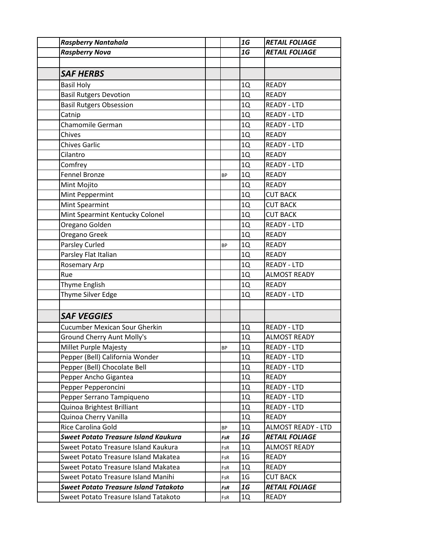| <b>Raspberry Nantahala</b>                   |            | 1G             | <b>RETAIL FOLIAGE</b>     |
|----------------------------------------------|------------|----------------|---------------------------|
| <b>Raspberry Nova</b>                        |            | 1G             | <b>RETAIL FOLIAGE</b>     |
|                                              |            |                |                           |
| <b>SAF HERBS</b>                             |            |                |                           |
| <b>Basil Holy</b>                            |            | 1Q             | <b>READY</b>              |
| <b>Basil Rutgers Devotion</b>                |            | 1Q             | <b>READY</b>              |
| <b>Basil Rutgers Obsession</b>               |            | 1Q             | <b>READY - LTD</b>        |
| Catnip                                       |            | 1Q             | <b>READY - LTD</b>        |
| Chamomile German                             |            | 1Q             | <b>READY - LTD</b>        |
| Chives                                       |            | 1Q             | <b>READY</b>              |
| <b>Chives Garlic</b>                         |            | 1Q             | <b>READY - LTD</b>        |
| Cilantro                                     |            | 1Q             | <b>READY</b>              |
| Comfrey                                      |            | 1Q             | <b>READY - LTD</b>        |
| <b>Fennel Bronze</b>                         | <b>BP</b>  | 1Q             | <b>READY</b>              |
| Mint Mojito                                  |            | 1Q             | <b>READY</b>              |
| Mint Peppermint                              |            | 1Q             | <b>CUT BACK</b>           |
| <b>Mint Spearmint</b>                        |            | 1Q             | <b>CUT BACK</b>           |
| Mint Spearmint Kentucky Colonel              |            | 1Q             | <b>CUT BACK</b>           |
| Oregano Golden                               |            | 1Q             | <b>READY - LTD</b>        |
| Oregano Greek                                |            | 1Q             | <b>READY</b>              |
| Parsley Curled                               | <b>BP</b>  | 1Q             | <b>READY</b>              |
| Parsley Flat Italian                         |            | 1Q             | <b>READY</b>              |
| <b>Rosemary Arp</b>                          |            | 1Q             | <b>READY - LTD</b>        |
| Rue                                          |            | 1Q             | <b>ALMOST READY</b>       |
| Thyme English                                |            | 1Q             | <b>READY</b>              |
| Thyme Silver Edge                            |            | 1Q             | <b>READY - LTD</b>        |
|                                              |            |                |                           |
| <b>SAF VEGGIES</b>                           |            |                |                           |
| <b>Cucumber Mexican Sour Gherkin</b>         |            | 1Q             | <b>READY - LTD</b>        |
| <b>Ground Cherry Aunt Molly's</b>            |            | 1Q             | <b>ALMOST READY</b>       |
| Millet Purple Majesty                        | ВP         | 1Q             | READY - LTD               |
| Pepper (Bell) California Wonder              |            | 1Q             | READY - LTD               |
| Pepper (Bell) Chocolate Bell                 |            | 1Q             | READY - LTD               |
| Pepper Ancho Gigantea                        |            | 1Q             | <b>READY</b>              |
| Pepper Pepperoncini                          |            | 1Q             | <b>READY - LTD</b>        |
| Pepper Serrano Tampiqueno                    |            | 1Q             | <b>READY - LTD</b>        |
| Quinoa Brightest Brilliant                   |            | 1Q             | <b>READY - LTD</b>        |
| Quinoa Cherry Vanilla                        |            | $1{\rm Q}$     | <b>READY</b>              |
| Rice Carolina Gold                           | <b>BP</b>  | 1Q             | <b>ALMOST READY - LTD</b> |
| <b>Sweet Potato Treasure Island Kaukura</b>  | <b>FsR</b> | 1G             | <b>RETAIL FOLIAGE</b>     |
| Sweet Potato Treasure Island Kaukura         | FsR        | 1Q             | <b>ALMOST READY</b>       |
| Sweet Potato Treasure Island Makatea         | FsR        | 1 <sub>G</sub> | <b>READY</b>              |
| Sweet Potato Treasure Island Makatea         | FsR        | 1Q             | <b>READY</b>              |
| Sweet Potato Treasure Island Manihi          | FsR        | 1 <sub>G</sub> | <b>CUT BACK</b>           |
| <b>Sweet Potato Treasure Island Tatakoto</b> | FsR        | 1G             | <b>RETAIL FOLIAGE</b>     |
| Sweet Potato Treasure Island Tatakoto        | FsR        | 1Q             | READY                     |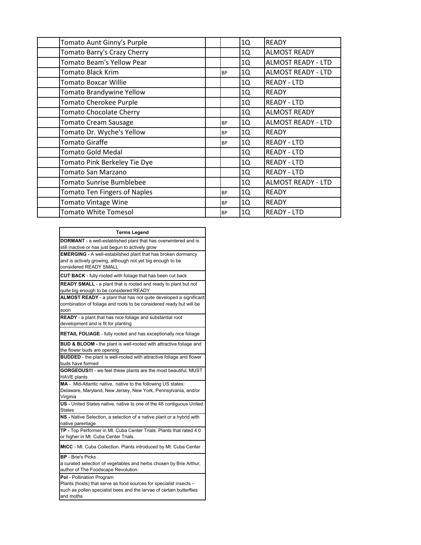| Tomato Aunt Ginny's Purple          |           | 1Q | <b>READY</b>              |
|-------------------------------------|-----------|----|---------------------------|
| Tomato Barry's Crazy Cherry         |           | 1Q | <b>ALMOST READY</b>       |
| Tomato Beam's Yellow Pear           |           | 1Q | <b>ALMOST READY - LTD</b> |
| Tomato Black Krim                   | <b>BP</b> | 1Q | <b>ALMOST READY - LTD</b> |
| Tomato Boxcar Willie                |           | 1Q | <b>READY - LTD</b>        |
| Tomato Brandywine Yellow            |           | 1Q | <b>READY</b>              |
| Tomato Cherokee Purple              |           | 1Q | <b>READY - LTD</b>        |
| <b>Tomato Chocolate Cherry</b>      |           | 1Q | <b>ALMOST READY</b>       |
| <b>Tomato Cream Sausage</b>         | <b>BP</b> | 1Q | <b>ALMOST READY - LTD</b> |
| Tomato Dr. Wyche's Yellow           | <b>BP</b> | 1Q | <b>READY</b>              |
| <b>Tomato Giraffe</b>               | <b>BP</b> | 1Q | <b>READY - LTD</b>        |
| <b>Tomato Gold Medal</b>            |           | 1Q | <b>READY - LTD</b>        |
| Tomato Pink Berkeley Tie Dye        |           | 1Q | <b>READY - LTD</b>        |
| Tomato San Marzano                  |           | 1Q | <b>READY - LTD</b>        |
| <b>Tomato Sunrise Bumblebee</b>     |           | 1Q | <b>ALMOST READY - LTD</b> |
| <b>Tomato Ten Fingers of Naples</b> | <b>BP</b> | 1Q | <b>READY</b>              |
| <b>Tomato Vintage Wine</b>          | <b>BP</b> | 1Q | <b>READY</b>              |
| Tomato White Tomesol                | <b>BP</b> | 1Q | <b>READY - LTD</b>        |

| <b>Terms Legend</b>                                                         |  |  |  |  |
|-----------------------------------------------------------------------------|--|--|--|--|
| <b>DORMANT</b> - a well-established plant that has overwintered and is      |  |  |  |  |
| still inactive or has just begun to actively grow                           |  |  |  |  |
| <b>EMERGING</b> - A well-established plant that has broken dormancy         |  |  |  |  |
| and is actively growing, although not yet big enough to be                  |  |  |  |  |
| considered READY SMALL                                                      |  |  |  |  |
| CUT BACK - fully rooted with foliage that has been cut back                 |  |  |  |  |
| READY SMALL - a plant that is rooted and ready to plant but not             |  |  |  |  |
| quite big enough to be considered READY                                     |  |  |  |  |
| ALMOST READY - a plant that has not quite developed a significant           |  |  |  |  |
| combination of foliage and roots to be considered ready but will be         |  |  |  |  |
| soon                                                                        |  |  |  |  |
| <b>READY</b> - a plant that has nice foliage and substantial root           |  |  |  |  |
| development and is fit for planting                                         |  |  |  |  |
| <b>RETAIL FOLIAGE</b> - fully rooted and has exceptionally nice foliage     |  |  |  |  |
| BUD & BLOOM - the plant is well-rooted with attractive foliage and          |  |  |  |  |
| the flower buds are opening                                                 |  |  |  |  |
| <b>BUDDED</b> - the plant is well-rooted with attractive foliage and flower |  |  |  |  |
| buds have formed                                                            |  |  |  |  |
| GORGEOUS !!! - we feel these plants are the most beautiful, MUST            |  |  |  |  |
| <b>HAVE plants</b>                                                          |  |  |  |  |
| MA - Mid-Atlantic native, native to the following US states:                |  |  |  |  |
| Delaware, Maryland, New Jersey, New York, Pennsylvania, and/or              |  |  |  |  |
| Virginia                                                                    |  |  |  |  |
| US - United States native, native to one of the 48 contiguous United        |  |  |  |  |
| States                                                                      |  |  |  |  |
| NS - Native Selection, a selection of a native plant or a hybrid with       |  |  |  |  |
| native parentage                                                            |  |  |  |  |
| TP - Top Performer in Mt. Cuba Center Trials. Plants that rated 4.0         |  |  |  |  |
| or higher in Mt. Cuba Center Trials.                                        |  |  |  |  |
| MtCC - Mt. Cuba Collection. Plants introduced by Mt. Cuba Center            |  |  |  |  |
| <b>BP</b> - Brie's Picks                                                    |  |  |  |  |
| a curated selection of vegetables and herbs chosen by Brie Arthur,          |  |  |  |  |
| author of The Foodscape Revolution.                                         |  |  |  |  |
| Pol - Pollination Program                                                   |  |  |  |  |
| Plants (hosts) that serve as food sources for specialist insects -          |  |  |  |  |
| such as pollen specialist bees and the larvae of certain butterflies        |  |  |  |  |
| and moths                                                                   |  |  |  |  |
|                                                                             |  |  |  |  |